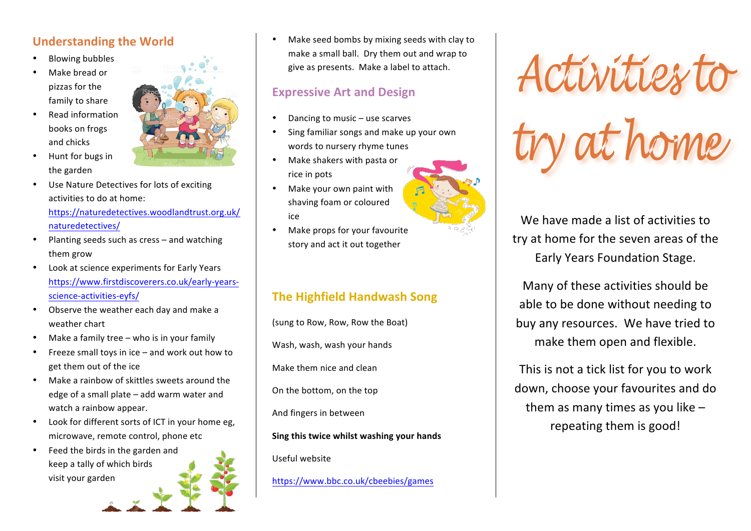### **Understanding the World**

- **Blowing bubbles**
- Make bread or pizzas for the family to share
- Read information books on frogs and chicks
- Hunt for bugs in the garden
- Use Nature Detectives for lots of exciting activities to do at home:

https://naturedetectives.woodlandtrust.org.uk/ naturedetectives/

- Planting seeds such as cress  $-$  and watching them grow
- Look at science experiments for Early Years https://www.firstdiscoverers.co.uk/early-yearsscience-activities-eyfs/
- Observe the weather each day and make a weather chart
- Make a family tree who is in your family
- Freeze small toys in ice  $-$  and work out how to get them out of the ice
- Make a rainbow of skittles sweets around the edge of a small plate  $-$  add warm water and watch a rainbow appear.
- Look for different sorts of ICT in your home eg, microwave, remote control, phone etc
- $\bullet$  Feed the birds in the garden and keep a tally of which birds visit your garden



Make seed bombs by mixing seeds with clay to make a small ball. Dry them out and wrap to give as presents. Make a label to attach.

#### **Expressive Art and Design**

- Dancing to music use scarves
- Sing familiar songs and make up your own words to nursery rhyme tunes
- Make shakers with pasta or rice in pots
- Make your own paint with shaving foam or coloured ice
- Make props for your favourite story and act it out together

# **The Highfield Handwash Song**

(sung to Row, Row, Row the Boat)

Wash, wash, wash your hands

Make them nice and clean

On the bottom, on the top

And fingers in between

**Sing this twice whilst washing your hands** 

Useful website

https://www.bbc.co.uk/cbeebies/games



We have made a list of activities to try at home for the seven areas of the Early Years Foundation Stage.

Many of these activities should be able to be done without needing to buy any resources. We have tried to make them open and flexible.

This is not a tick list for you to work down, choose your favourites and do them as many times as you like  $$ repeating them is good!